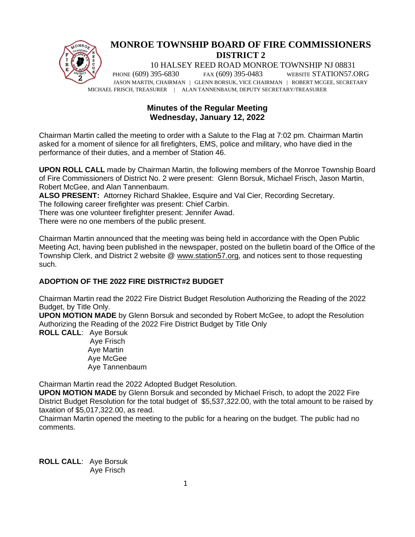

# **MONROE TOWNSHIP BOARD OF FIRE COMMISSIONERS DISTRICT 2**

10 HALSEY REED ROAD MONROE TOWNSHIP NJ 08831 PHONE (609) 395-6830 FAX (609) 395-0483 WEBSITE STATION57.ORG JASON MARTIN, CHAIRMAN | GLENN BORSUK, VICE CHAIRMAN | ROBERT MCGEE, SECRETARY MICHAEL FRISCH, TREASURER | ALAN TANNENBAUM, DEPUTY SECRETARY/TREASURER

# **Minutes of the Regular Meeting Wednesday, January 12, 2022**

Chairman Martin called the meeting to order with a Salute to the Flag at 7:02 pm. Chairman Martin asked for a moment of silence for all firefighters, EMS, police and military, who have died in the performance of their duties, and a member of Station 46.

**UPON ROLL CALL** made by Chairman Martin, the following members of the Monroe Township Board of Fire Commissioners of District No. 2 were present: Glenn Borsuk, Michael Frisch, Jason Martin, Robert McGee, and Alan Tannenbaum.

**ALSO PRESENT:** Attorney Richard Shaklee, Esquire and Val Cier, Recording Secretary. The following career firefighter was present: Chief Carbin.

There was one volunteer firefighter present: Jennifer Awad.

There were no one members of the public present.

Chairman Martin announced that the meeting was being held in accordance with the Open Public Meeting Act, having been published in the newspaper, posted on the bulletin board of the Office of the Township Clerk, and District 2 website @ [www.station57.org,](http://www.station57.org/) and notices sent to those requesting such.

# **ADOPTION OF THE 2022 FIRE DISTRICT#2 BUDGET**

Chairman Martin read the 2022 Fire District Budget Resolution Authorizing the Reading of the 2022 Budget, by Title Only.

**UPON MOTION MADE** by Glenn Borsuk and seconded by Robert McGee, to adopt the Resolution Authorizing the Reading of the 2022 Fire District Budget by Title Only

**ROLL CALL**: Aye Borsuk Aye Frisch Aye Martin Aye McGee Aye Tannenbaum

Chairman Martin read the 2022 Adopted Budget Resolution.

**UPON MOTION MADE** by Glenn Borsuk and seconded by Michael Frisch, to adopt the 2022 Fire District Budget Resolution for the total budget of \$5,537,322.00, with the total amount to be raised by taxation of \$5,017,322.00, as read.

Chairman Martin opened the meeting to the public for a hearing on the budget. The public had no comments.

**ROLL CALL**: Aye Borsuk Aye Frisch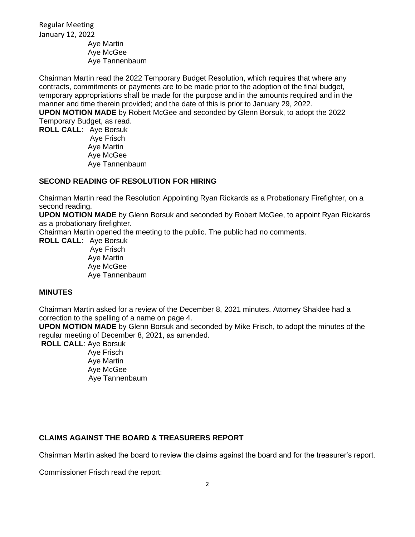Regular Meeting January 12, 2022

Aye Martin Aye McGee Aye Tannenbaum

Chairman Martin read the 2022 Temporary Budget Resolution, which requires that where any contracts, commitments or payments are to be made prior to the adoption of the final budget, temporary appropriations shall be made for the purpose and in the amounts required and in the manner and time therein provided; and the date of this is prior to January 29, 2022. **UPON MOTION MADE** by Robert McGee and seconded by Glenn Borsuk, to adopt the 2022 Temporary Budget, as read. **ROLL CALL**: Aye Borsuk

Aye Frisch Aye Martin Aye McGee Aye Tannenbaum

# **SECOND READING OF RESOLUTION FOR HIRING**

Chairman Martin read the Resolution Appointing Ryan Rickards as a Probationary Firefighter, on a second reading.

**UPON MOTION MADE** by Glenn Borsuk and seconded by Robert McGee, to appoint Ryan Rickards as a probationary firefighter.

Chairman Martin opened the meeting to the public. The public had no comments.

**ROLL CALL**: Aye Borsuk Aye Frisch Aye Martin Aye McGee Aye Tannenbaum

## **MINUTES**

Chairman Martin asked for a review of the December 8, 2021 minutes. Attorney Shaklee had a correction to the spelling of a name on page 4.

**UPON MOTION MADE** by Glenn Borsuk and seconded by Mike Frisch, to adopt the minutes of the regular meeting of December 8, 2021, as amended.

**ROLL CALL**: Aye Borsuk

Aye Frisch Aye Martin Aye McGee Aye Tannenbaum

# **CLAIMS AGAINST THE BOARD & TREASURERS REPORT**

Chairman Martin asked the board to review the claims against the board and for the treasurer's report.

Commissioner Frisch read the report: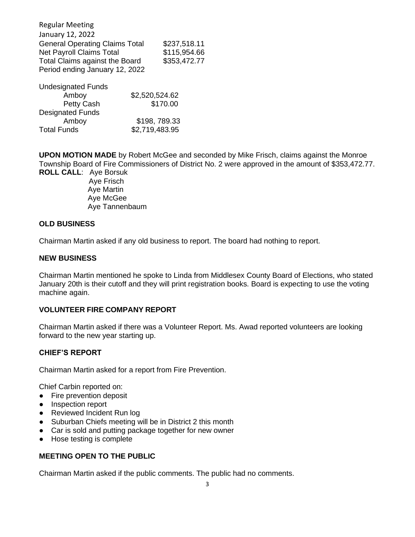Regular Meeting January 12, 2022 General Operating Claims Total \$237,518.11 Net Payroll Claims Total \$115,954.66 Total Claims against the Board \$353,472.77 Period ending January 12, 2022

| <b>Undesignated Funds</b> |                |
|---------------------------|----------------|
| Amboy                     | \$2,520,524.62 |
| Petty Cash                | \$170.00       |
| <b>Designated Funds</b>   |                |
| Amboy                     | \$198,789.33   |
| <b>Total Funds</b>        | \$2,719,483.95 |

**UPON MOTION MADE** by Robert McGee and seconded by Mike Frisch, claims against the Monroe Township Board of Fire Commissioners of District No. 2 were approved in the amount of \$353,472.77. **ROLL CALL**: Aye Borsuk

 Aye Frisch Aye Martin Aye McGee Aye Tannenbaum

#### **OLD BUSINESS**

Chairman Martin asked if any old business to report. The board had nothing to report.

#### **NEW BUSINESS**

Chairman Martin mentioned he spoke to Linda from Middlesex County Board of Elections, who stated January 20th is their cutoff and they will print registration books. Board is expecting to use the voting machine again.

# **VOLUNTEER FIRE COMPANY REPORT**

Chairman Martin asked if there was a Volunteer Report. Ms. Awad reported volunteers are looking forward to the new year starting up.

#### **CHIEF'S REPORT**

Chairman Martin asked for a report from Fire Prevention.

Chief Carbin reported on:

- Fire prevention deposit
- Inspection report
- Reviewed Incident Run log
- Suburban Chiefs meeting will be in District 2 this month
- Car is sold and putting package together for new owner
- Hose testing is complete

## **MEETING OPEN TO THE PUBLIC**

Chairman Martin asked if the public comments. The public had no comments.